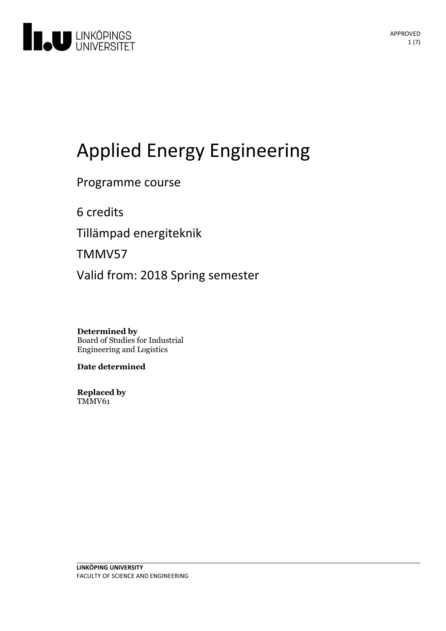

# Applied Energy Engineering

Programme course

6 credits

Tillämpad energiteknik

TMMV57

Valid from: 2018 Spring semester

**Determined by** Board of Studies for Industrial Engineering and Logistics

**Date determined**

**Replaced by** TMMV61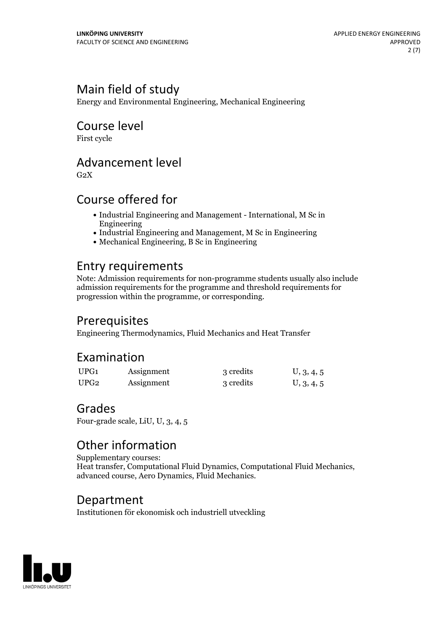# Main field of study

Energy and Environmental Engineering, Mechanical Engineering

# Course level

First cycle

# Advancement level

 $G<sub>2</sub>X$ 

# Course offered for

- Industrial Engineering and Management International, M Sc in Engineering
- Industrial Engineering and Management, M Sc in Engineering
- Mechanical Engineering, B Sc in Engineering

# Entry requirements

Note: Admission requirements for non-programme students usually also include admission requirements for the programme and threshold requirements for progression within the programme, or corresponding.

# Prerequisites

Engineering Thermodynamics, Fluid Mechanics and Heat Transfer

# Examination

| UPG1 | Assignment | 3 credits | U, 3, 4, 5 |
|------|------------|-----------|------------|
| UPG2 | Assignment | 3 credits | U, 3, 4, 5 |

### Grades

Four-grade scale, LiU, U, 3, 4, 5

# Other information

Supplementary courses: Heat transfer, Computational Fluid Dynamics, Computational Fluid Mechanics, advanced course, Aero Dynamics, Fluid Mechanics.

### Department

Institutionen för ekonomisk och industriell utveckling

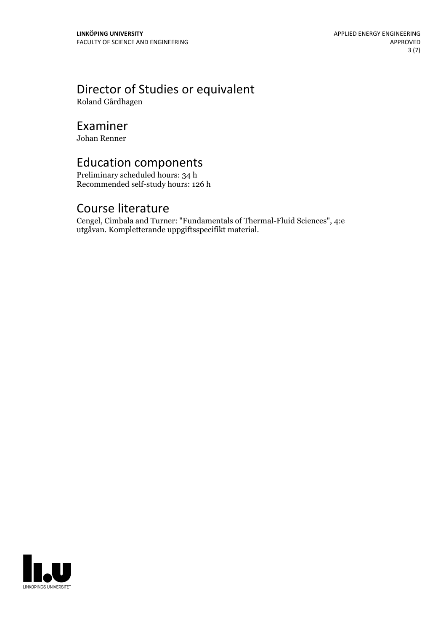# Director of Studies or equivalent

Roland Gårdhagen

### Examiner

Johan Renner

# Education components

Preliminary scheduled hours: 34 h Recommended self-study hours: 126 h

### Course literature

Cengel, Cimbala and Turner: "Fundamentals of Thermal-Fluid Sciences", 4:e utgåvan. Kompletterande uppgiftsspecifikt material.

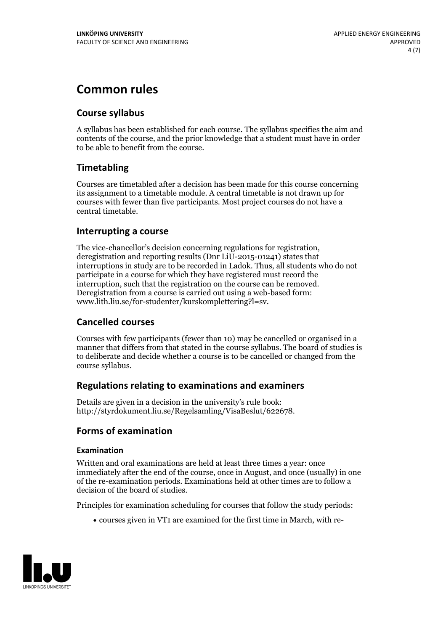# **Common rules**

### **Course syllabus**

A syllabus has been established for each course. The syllabus specifies the aim and contents of the course, and the prior knowledge that a student must have in order to be able to benefit from the course.

### **Timetabling**

Courses are timetabled after a decision has been made for this course concerning its assignment to a timetable module. A central timetable is not drawn up for courses with fewer than five participants. Most project courses do not have a central timetable.

### **Interrupting a course**

The vice-chancellor's decision concerning regulations for registration, deregistration and reporting results (Dnr LiU-2015-01241) states that interruptions in study are to be recorded in Ladok. Thus, all students who do not participate in a course for which they have registered must record the interruption, such that the registration on the course can be removed. Deregistration from <sup>a</sup> course is carried outusing <sup>a</sup> web-based form: www.lith.liu.se/for-studenter/kurskomplettering?l=sv.

### **Cancelled courses**

Courses with few participants (fewer than 10) may be cancelled or organised in a manner that differs from that stated in the course syllabus. The board of studies is to deliberate and decide whether a course is to be cancelled orchanged from the course syllabus.

### **Regulations relatingto examinations and examiners**

Details are given in a decision in the university's rule book: http://styrdokument.liu.se/Regelsamling/VisaBeslut/622678.

### **Forms of examination**

### **Examination**

Written and oral examinations are held at least three times a year: once immediately after the end of the course, once in August, and once (usually) in one of the re-examination periods. Examinations held at other times are to follow a decision of the board of studies.

Principles for examination scheduling for courses that follow the study periods:

courses given in VT1 are examined for the first time in March, with re-

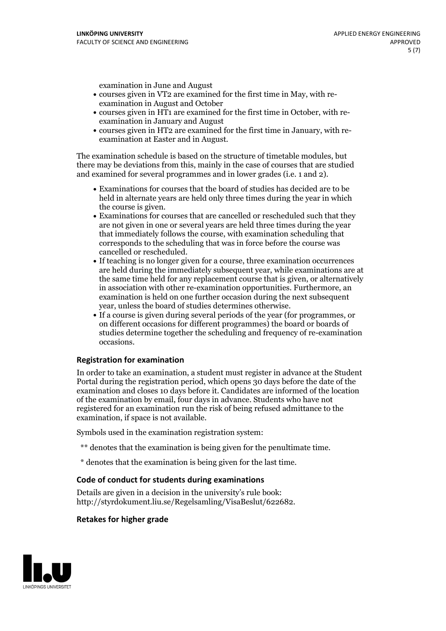examination in June and August

- courses given in VT2 are examined for the first time in May, with re-examination in August and October
- courses given in HT1 are examined for the first time in October, with re-examination in January and August
- courses given in HT2 are examined for the first time in January, with re-examination at Easter and in August.

The examination schedule is based on the structure of timetable modules, but there may be deviations from this, mainly in the case of courses that are studied and examined for several programmes and in lower grades (i.e. 1 and 2).

- Examinations for courses that the board of studies has decided are to be held in alternate years are held only three times during the year in which
- the course is given.<br>• Examinations for courses that are cancelled or rescheduled such that they are not given in one or several years are held three times during the year that immediately follows the course, with examination scheduling that corresponds to the scheduling that was in force before the course was cancelled or rescheduled.<br>• If teaching is no longer given for a course, three examination occurrences
- are held during the immediately subsequent year, while examinations are at the same time held for any replacement course that is given, or alternatively in association with other re-examination opportunities. Furthermore, an examination is held on one further occasion during the next subsequent year, unless the board of studies determines otherwise.<br>• If a course is given during several periods of the year (for programmes, or
- on different occasions for different programmes) the board orboards of studies determine together the scheduling and frequency of re-examination occasions.

#### **Registration for examination**

In order to take an examination, a student must register in advance at the Student Portal during the registration period, which opens 30 days before the date of the examination and closes 10 days before it. Candidates are informed of the location of the examination by email, four days in advance. Students who have not registered for an examination run the risk of being refused admittance to the examination, if space is not available.

Symbols used in the examination registration system:

- \*\* denotes that the examination is being given for the penultimate time.
- \* denotes that the examination is being given for the last time.

#### **Code of conduct for students during examinations**

Details are given in a decision in the university's rule book: http://styrdokument.liu.se/Regelsamling/VisaBeslut/622682.

#### **Retakes for higher grade**

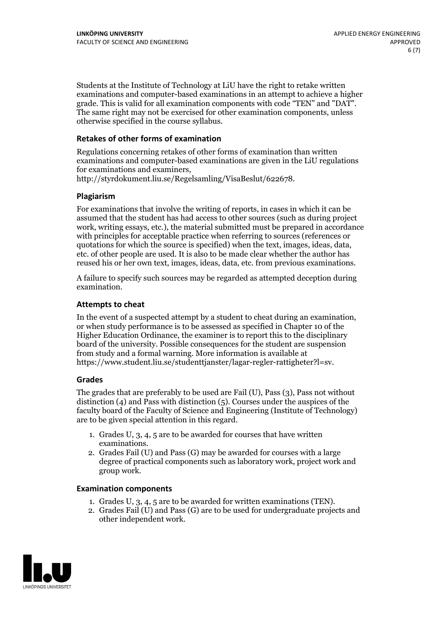Students at the Institute of Technology at LiU have the right to retake written examinations and computer-based examinations in an attempt to achieve a higher grade. This is valid for all examination components with code "TEN" and "DAT". The same right may not be exercised for other examination components, unless otherwise specified in the course syllabus.

#### **Retakes of other forms of examination**

Regulations concerning retakes of other forms of examination than written examinations and computer-based examinations are given in the LiU regulations for examinations and examiners, http://styrdokument.liu.se/Regelsamling/VisaBeslut/622678.

#### **Plagiarism**

For examinations that involve the writing of reports, in cases in which it can be assumed that the student has had access to other sources (such as during project work, writing essays, etc.), the material submitted must be prepared in accordance with principles for acceptable practice when referring to sources (references or quotations for which the source is specified) when the text, images, ideas, data, etc. of other people are used. It is also to be made clear whether the author has reused his or her own text, images, ideas, data, etc. from previous examinations.

A failure to specify such sources may be regarded as attempted deception during examination.

#### **Attempts to cheat**

In the event of <sup>a</sup> suspected attempt by <sup>a</sup> student to cheat during an examination, or when study performance is to be assessed as specified in Chapter <sup>10</sup> of the Higher Education Ordinance, the examiner is to report this to the disciplinary board of the university. Possible consequences for the student are suspension from study and a formal warning. More information is available at https://www.student.liu.se/studenttjanster/lagar-regler-rattigheter?l=sv.

#### **Grades**

The grades that are preferably to be used are Fail (U), Pass (3), Pass not without distinction  $(4)$  and Pass with distinction  $(5)$ . Courses under the auspices of the faculty board of the Faculty of Science and Engineering (Institute of Technology) are to be given special attention in this regard.

- 1. Grades U, 3, 4, 5 are to be awarded for courses that have written
- examinations. 2. Grades Fail (U) and Pass (G) may be awarded for courses with <sup>a</sup> large degree of practical components such as laboratory work, project work and group work.

#### **Examination components**

- 
- 1. Grades U, 3, 4, <sup>5</sup> are to be awarded for written examinations (TEN). 2. Grades Fail (U) and Pass (G) are to be used for undergraduate projects and other independent work.